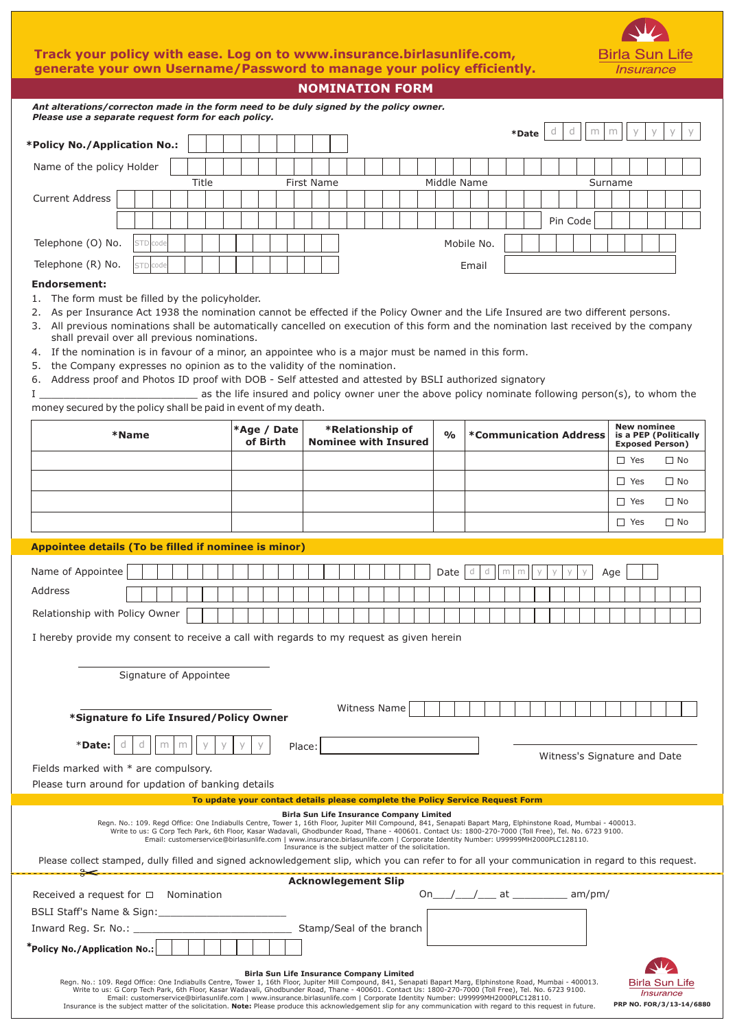## **Track your policy with ease. Log on to www.insurance.birlasunlife.com, generate your own Username/Password to manage your policy efficiently.**



**Birla Sun Life Insurance** 

| <b>NOMINATION FORM</b>                                                                                                                                                                                                                                                                                                                                                                                                                                                                                                                                                                                                                                                                                                                                                                                                             |                         |  |  |  |  |                                                 |  |  |               |                               |   |       |   |          |     |   |            |                                                 |           |  |
|------------------------------------------------------------------------------------------------------------------------------------------------------------------------------------------------------------------------------------------------------------------------------------------------------------------------------------------------------------------------------------------------------------------------------------------------------------------------------------------------------------------------------------------------------------------------------------------------------------------------------------------------------------------------------------------------------------------------------------------------------------------------------------------------------------------------------------|-------------------------|--|--|--|--|-------------------------------------------------|--|--|---------------|-------------------------------|---|-------|---|----------|-----|---|------------|-------------------------------------------------|-----------|--|
| Ant alterations/correcton made in the form need to be duly signed by the policy owner.<br>Please use a separate request form for each policy.                                                                                                                                                                                                                                                                                                                                                                                                                                                                                                                                                                                                                                                                                      |                         |  |  |  |  |                                                 |  |  |               |                               |   |       |   |          |     |   |            |                                                 |           |  |
|                                                                                                                                                                                                                                                                                                                                                                                                                                                                                                                                                                                                                                                                                                                                                                                                                                    |                         |  |  |  |  |                                                 |  |  |               |                               |   | *Date | d | d        | m   | m | У          |                                                 |           |  |
| *Policy No./Application No.:                                                                                                                                                                                                                                                                                                                                                                                                                                                                                                                                                                                                                                                                                                                                                                                                       |                         |  |  |  |  |                                                 |  |  |               |                               |   |       |   |          |     |   |            |                                                 |           |  |
| Name of the policy Holder<br>Middle Name<br><b>First Name</b><br>Surname                                                                                                                                                                                                                                                                                                                                                                                                                                                                                                                                                                                                                                                                                                                                                           |                         |  |  |  |  |                                                 |  |  |               |                               |   |       |   |          |     |   |            |                                                 |           |  |
| Title<br><b>Current Address</b>                                                                                                                                                                                                                                                                                                                                                                                                                                                                                                                                                                                                                                                                                                                                                                                                    |                         |  |  |  |  |                                                 |  |  |               |                               |   |       |   |          |     |   |            |                                                 |           |  |
|                                                                                                                                                                                                                                                                                                                                                                                                                                                                                                                                                                                                                                                                                                                                                                                                                                    |                         |  |  |  |  |                                                 |  |  |               |                               |   |       |   |          |     |   |            |                                                 |           |  |
|                                                                                                                                                                                                                                                                                                                                                                                                                                                                                                                                                                                                                                                                                                                                                                                                                                    |                         |  |  |  |  |                                                 |  |  |               |                               |   |       |   | Pin Code |     |   |            |                                                 |           |  |
| Telephone (O) No.<br>Mobile No.<br>code                                                                                                                                                                                                                                                                                                                                                                                                                                                                                                                                                                                                                                                                                                                                                                                            |                         |  |  |  |  |                                                 |  |  |               |                               |   |       |   |          |     |   |            |                                                 |           |  |
| Telephone (R) No.<br>Email<br>code<br><b>STD</b>                                                                                                                                                                                                                                                                                                                                                                                                                                                                                                                                                                                                                                                                                                                                                                                   |                         |  |  |  |  |                                                 |  |  |               |                               |   |       |   |          |     |   |            |                                                 |           |  |
| <b>Endorsement:</b><br>1. The form must be filled by the policyholder.<br>As per Insurance Act 1938 the nomination cannot be effected if the Policy Owner and the Life Insured are two different persons.<br>2.<br>3. All previous nominations shall be automatically cancelled on execution of this form and the nomination last received by the company<br>shall prevail over all previous nominations.<br>4. If the nomination is in favour of a minor, an appointee who is a major must be named in this form.<br>5. the Company expresses no opinion as to the validity of the nomination.<br>6. Address proof and Photos ID proof with DOB - Self attested and attested by BSLI authorized signatory<br>as the life insured and policy owner uner the above policy nominate following person(s), to whom the<br>$\mathbf{I}$ |                         |  |  |  |  |                                                 |  |  |               |                               |   |       |   |          |     |   |            |                                                 |           |  |
| money secured by the policy shall be paid in event of my death.<br><b>New nominee</b>                                                                                                                                                                                                                                                                                                                                                                                                                                                                                                                                                                                                                                                                                                                                              |                         |  |  |  |  |                                                 |  |  |               |                               |   |       |   |          |     |   |            |                                                 |           |  |
| *Name                                                                                                                                                                                                                                                                                                                                                                                                                                                                                                                                                                                                                                                                                                                                                                                                                              | *Age / Date<br>of Birth |  |  |  |  | *Relationship of<br><b>Nominee with Insured</b> |  |  | $\frac{0}{0}$ | <b>*Communication Address</b> |   |       |   |          |     |   |            | is a PEP (Politically<br><b>Exposed Person)</b> |           |  |
|                                                                                                                                                                                                                                                                                                                                                                                                                                                                                                                                                                                                                                                                                                                                                                                                                                    |                         |  |  |  |  |                                                 |  |  |               |                               |   |       |   |          |     |   | $\Box$ Yes |                                                 | $\Box$ No |  |
|                                                                                                                                                                                                                                                                                                                                                                                                                                                                                                                                                                                                                                                                                                                                                                                                                                    |                         |  |  |  |  |                                                 |  |  |               |                               |   |       |   |          |     |   | $\Box$ Yes |                                                 | $\Box$ No |  |
|                                                                                                                                                                                                                                                                                                                                                                                                                                                                                                                                                                                                                                                                                                                                                                                                                                    |                         |  |  |  |  |                                                 |  |  |               |                               |   |       |   |          |     |   | $\Box$ Yes |                                                 | $\Box$ No |  |
|                                                                                                                                                                                                                                                                                                                                                                                                                                                                                                                                                                                                                                                                                                                                                                                                                                    |                         |  |  |  |  |                                                 |  |  |               |                               |   |       |   |          |     |   | $\Box$ Yes |                                                 | $\Box$ No |  |
| Appointee details (To be filled if nominee is minor)                                                                                                                                                                                                                                                                                                                                                                                                                                                                                                                                                                                                                                                                                                                                                                               |                         |  |  |  |  |                                                 |  |  |               |                               |   |       |   |          |     |   |            |                                                 |           |  |
|                                                                                                                                                                                                                                                                                                                                                                                                                                                                                                                                                                                                                                                                                                                                                                                                                                    |                         |  |  |  |  |                                                 |  |  |               |                               |   |       |   |          |     |   |            |                                                 |           |  |
| Name of Appointee                                                                                                                                                                                                                                                                                                                                                                                                                                                                                                                                                                                                                                                                                                                                                                                                                  |                         |  |  |  |  |                                                 |  |  | Date          | d<br>d                        | m |       |   |          | Age |   |            |                                                 |           |  |
| Address                                                                                                                                                                                                                                                                                                                                                                                                                                                                                                                                                                                                                                                                                                                                                                                                                            |                         |  |  |  |  |                                                 |  |  |               |                               |   |       |   |          |     |   |            |                                                 |           |  |
| Relationship with Policy Owner                                                                                                                                                                                                                                                                                                                                                                                                                                                                                                                                                                                                                                                                                                                                                                                                     |                         |  |  |  |  |                                                 |  |  |               |                               |   |       |   |          |     |   |            |                                                 |           |  |
| I hereby provide my consent to receive a call with regards to my request as given herein                                                                                                                                                                                                                                                                                                                                                                                                                                                                                                                                                                                                                                                                                                                                           |                         |  |  |  |  |                                                 |  |  |               |                               |   |       |   |          |     |   |            |                                                 |           |  |
|                                                                                                                                                                                                                                                                                                                                                                                                                                                                                                                                                                                                                                                                                                                                                                                                                                    |                         |  |  |  |  |                                                 |  |  |               |                               |   |       |   |          |     |   |            |                                                 |           |  |
| Signature of Appointee                                                                                                                                                                                                                                                                                                                                                                                                                                                                                                                                                                                                                                                                                                                                                                                                             |                         |  |  |  |  |                                                 |  |  |               |                               |   |       |   |          |     |   |            |                                                 |           |  |
|                                                                                                                                                                                                                                                                                                                                                                                                                                                                                                                                                                                                                                                                                                                                                                                                                                    |                         |  |  |  |  |                                                 |  |  |               |                               |   |       |   |          |     |   |            |                                                 |           |  |
| *Signature fo Life Insured/Policy Owner                                                                                                                                                                                                                                                                                                                                                                                                                                                                                                                                                                                                                                                                                                                                                                                            |                         |  |  |  |  | Witness Name                                    |  |  |               |                               |   |       |   |          |     |   |            |                                                 |           |  |
| *Date:<br>Place:                                                                                                                                                                                                                                                                                                                                                                                                                                                                                                                                                                                                                                                                                                                                                                                                                   |                         |  |  |  |  |                                                 |  |  |               |                               |   |       |   |          |     |   |            |                                                 |           |  |
| Witness's Signature and Date<br>Fields marked with * are compulsory.                                                                                                                                                                                                                                                                                                                                                                                                                                                                                                                                                                                                                                                                                                                                                               |                         |  |  |  |  |                                                 |  |  |               |                               |   |       |   |          |     |   |            |                                                 |           |  |
| Please turn around for updation of banking details                                                                                                                                                                                                                                                                                                                                                                                                                                                                                                                                                                                                                                                                                                                                                                                 |                         |  |  |  |  |                                                 |  |  |               |                               |   |       |   |          |     |   |            |                                                 |           |  |
| To update your contact details please complete the Policy Service Request Form                                                                                                                                                                                                                                                                                                                                                                                                                                                                                                                                                                                                                                                                                                                                                     |                         |  |  |  |  |                                                 |  |  |               |                               |   |       |   |          |     |   |            |                                                 |           |  |
| <b>Birla Sun Life Insurance Company Limited</b><br>Regn. No.: 109. Regd Office: One Indiabulls Centre, Tower 1, 16th Floor, Jupiter Mill Compound, 841, Senapati Bapart Marg, Elphinstone Road, Mumbai - 400013.<br>Write to us: G Corp Tech Park, 6th Floor, Kasar Wadavali, Ghodbunder Road, Thane - 400601. Contact Us: 1800-270-7000 (Toll Free), Tel. No. 6723 9100.<br>Email: customerservice@birlasunlife.com   www.insurance.birlasunlife.com   Corporate Identity Number: U99999MH2000PLC128110.<br>Insurance is the subject matter of the solicitation.                                                                                                                                                                                                                                                                  |                         |  |  |  |  |                                                 |  |  |               |                               |   |       |   |          |     |   |            |                                                 |           |  |
| Please collect stamped, dully filled and signed acknowledgement slip, which you can refer to for all your communication in regard to this request.                                                                                                                                                                                                                                                                                                                                                                                                                                                                                                                                                                                                                                                                                 |                         |  |  |  |  |                                                 |  |  |               |                               |   |       |   |          |     |   |            |                                                 |           |  |
| <b>Acknowlegement Slip</b><br>am/pm/<br>Received a request for $\Box$ Nomination<br>On                                                                                                                                                                                                                                                                                                                                                                                                                                                                                                                                                                                                                                                                                                                                             |                         |  |  |  |  |                                                 |  |  |               |                               |   |       |   |          |     |   |            |                                                 |           |  |

| BSLI Staff's Name & Sign:                                                                                                                                                                                                                                                                                                                                                                                                                              |                                                 |                                           |
|--------------------------------------------------------------------------------------------------------------------------------------------------------------------------------------------------------------------------------------------------------------------------------------------------------------------------------------------------------------------------------------------------------------------------------------------------------|-------------------------------------------------|-------------------------------------------|
| Inward Reg. Sr. No.:                                                                                                                                                                                                                                                                                                                                                                                                                                   | Stamp/Seal of the branch                        |                                           |
| $"$ Policy No./Application No.:                                                                                                                                                                                                                                                                                                                                                                                                                        |                                                 |                                           |
|                                                                                                                                                                                                                                                                                                                                                                                                                                                        | <b>Birla Sun Life Insurance Company Limited</b> | $\triangle$                               |
| Regn. No.: 109. Regd Office: One Indiabulls Centre, Tower 1, 16th Floor, Jupiter Mill Compound, 841, Senapati Bapart Marg, Elphinstone Road, Mumbai - 400013.<br>Write to us: G Corp Tech Park, 6th Floor, Kasar Wadavali, Ghodbunder Road, Thane - 400601. Contact Us: 1800-270-7000 (Toll Free), Tel. No. 6723 9100.<br>Email: customerservice@birlasunlife.com   www.insurance.birlasunlife.com   Corporate Identity Number: U99999MH2000PLC128110. |                                                 | <b>Birla Sun Life</b><br><i>Insurance</i> |
| Insurance is the subject matter of the solicitation. Note: Please produce this acknowledgement slip for any communication with regard to this request in future.                                                                                                                                                                                                                                                                                       |                                                 | PRP NO. FOR/3/13-14/6880                  |